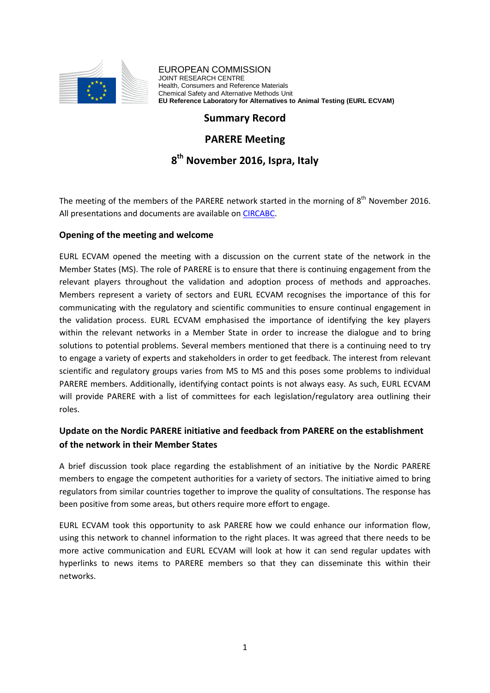

EUROPEAN COMMISSION JOINT RESEARCH CENTRE Health, Consumers and Reference Materials Chemical Safety and Alternative Methods Unit **EU Reference Laboratory for Alternatives to Animal Testing (EURL ECVAM)**

# **Summary Record**

## **PARERE Meeting**

# **8 th November 2016, Ispra, Italy**

The meeting of the members of the PARERE network started in the morning of  $8^{th}$  November 2016. All presentations and documents are available on [CIRCABC.](https://circabc.europa.eu/)

#### **Opening of the meeting and welcome**

EURL ECVAM opened the meeting with a discussion on the current state of the network in the Member States (MS). The role of PARERE is to ensure that there is continuing engagement from the relevant players throughout the validation and adoption process of methods and approaches. Members represent a variety of sectors and EURL ECVAM recognises the importance of this for communicating with the regulatory and scientific communities to ensure continual engagement in the validation process. EURL ECVAM emphasised the importance of identifying the key players within the relevant networks in a Member State in order to increase the dialogue and to bring solutions to potential problems. Several members mentioned that there is a continuing need to try to engage a variety of experts and stakeholders in order to get feedback. The interest from relevant scientific and regulatory groups varies from MS to MS and this poses some problems to individual PARERE members. Additionally, identifying contact points is not always easy. As such, EURL ECVAM will provide PARERE with a list of committees for each legislation/regulatory area outlining their roles.

# **Update on the Nordic PARERE initiative and feedback from PARERE on the establishment of the network in their Member States**

A brief discussion took place regarding the establishment of an initiative by the Nordic PARERE members to engage the competent authorities for a variety of sectors. The initiative aimed to bring regulators from similar countries together to improve the quality of consultations. The response has been positive from some areas, but others require more effort to engage.

EURL ECVAM took this opportunity to ask PARERE how we could enhance our information flow, using this network to channel information to the right places. It was agreed that there needs to be more active communication and EURL ECVAM will look at how it can send regular updates with hyperlinks to news items to PARERE members so that they can disseminate this within their networks.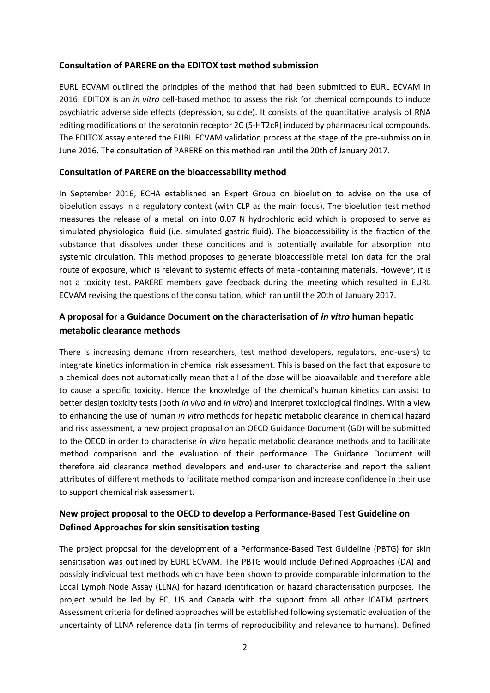#### **Consultation of PARERE on the EDITOX test method submission**

EURL ECVAM outlined the principles of the method that had been submitted to EURL ECVAM in 2016. EDITOX is an *in vitro* cell-based method to assess the risk for chemical compounds to induce psychiatric adverse side effects (depression, suicide). It consists of the quantitative analysis of RNA editing modifications of the serotonin receptor 2C (5-HT2cR) induced by pharmaceutical compounds. The EDITOX assay entered the EURL ECVAM validation process at the stage of the pre-submission in June 2016. The consultation of PARERE on this method ran until the 20th of January 2017.

#### **Consultation of PARERE on the bioaccessability method**

In September 2016, ECHA established an Expert Group on bioelution to advise on the use of bioelution assays in a regulatory context (with CLP as the main focus). The bioelution test method measures the release of a metal ion into 0.07 N hydrochloric acid which is proposed to serve as simulated physiological fluid (i.e. simulated gastric fluid). The bioaccessibility is the fraction of the substance that dissolves under these conditions and is potentially available for absorption into systemic circulation. This method proposes to generate bioaccessible metal ion data for the oral route of exposure, which is relevant to systemic effects of metal-containing materials. However, it is not a toxicity test. PARERE members gave feedback during the meeting which resulted in EURL ECVAM revising the questions of the consultation, which ran until the 20th of January 2017.

## **A proposal for a Guidance Document on the characterisation of** *in vitro* **human hepatic metabolic clearance methods**

There is increasing demand (from researchers, test method developers, regulators, end-users) to integrate kinetics information in chemical risk assessment. This is based on the fact that exposure to a chemical does not automatically mean that all of the dose will be bioavailable and therefore able to cause a specific toxicity. Hence the knowledge of the chemical's human kinetics can assist to better design toxicity tests (both *in vivo* and *in vitro*) and interpret toxicological findings. With a view to enhancing the use of human *in vitro* methods for hepatic metabolic clearance in chemical hazard and risk assessment, a new project proposal on an OECD Guidance Document (GD) will be submitted to the OECD in order to characterise *in vitro* hepatic metabolic clearance methods and to facilitate method comparison and the evaluation of their performance. The Guidance Document will therefore aid clearance method developers and end-user to characterise and report the salient attributes of different methods to facilitate method comparison and increase confidence in their use to support chemical risk assessment.

# **New project proposal to the OECD to develop a Performance-Based Test Guideline on Defined Approaches for skin sensitisation testing**

The project proposal for the development of a Performance-Based Test Guideline (PBTG) for skin sensitisation was outlined by EURL ECVAM. The PBTG would include Defined Approaches (DA) and possibly individual test methods which have been shown to provide comparable information to the Local Lymph Node Assay (LLNA) for hazard identification or hazard characterisation purposes. The project would be led by EC, US and Canada with the support from all other ICATM partners. Assessment criteria for defined approaches will be established following systematic evaluation of the uncertainty of LLNA reference data (in terms of reproducibility and relevance to humans). Defined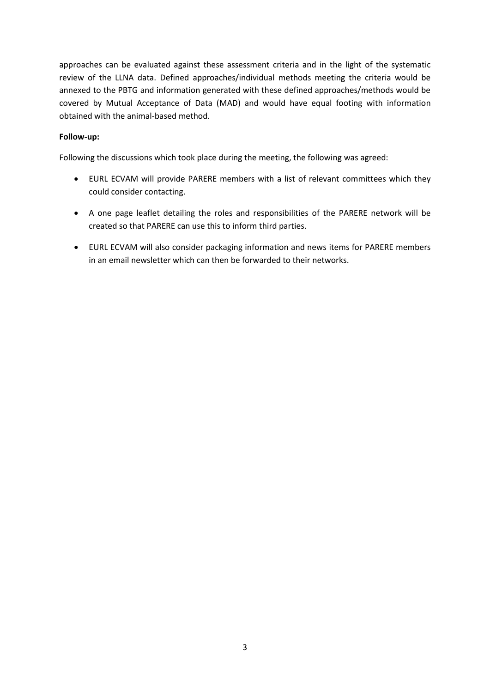approaches can be evaluated against these assessment criteria and in the light of the systematic review of the LLNA data. Defined approaches/individual methods meeting the criteria would be annexed to the PBTG and information generated with these defined approaches/methods would be covered by Mutual Acceptance of Data (MAD) and would have equal footing with information obtained with the animal-based method.

#### **Follow-up:**

Following the discussions which took place during the meeting, the following was agreed:

- EURL ECVAM will provide PARERE members with a list of relevant committees which they could consider contacting.
- A one page leaflet detailing the roles and responsibilities of the PARERE network will be created so that PARERE can use this to inform third parties.
- EURL ECVAM will also consider packaging information and news items for PARERE members in an email newsletter which can then be forwarded to their networks.